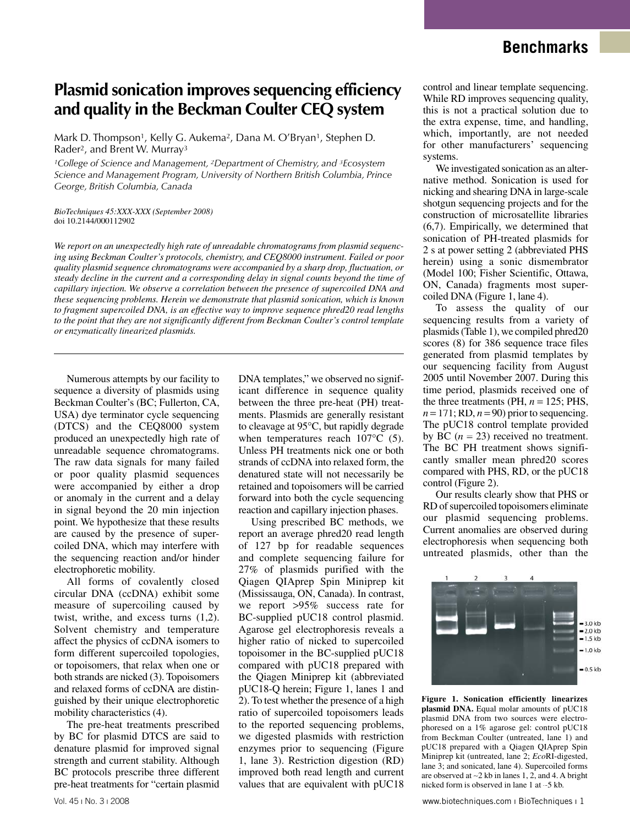# **Benchmarks**

# **Plasmid sonication improves sequencing efficiency and quality in the Beckman Coulter CEQ system**

Mark D. Thompson<sup>1</sup>, Kelly G. Aukema<sup>2</sup>, Dana M. O'Bryan<sup>1</sup>, Stephen D. Rader2, and Brent W. Murray3

*1College of Science and Management, 2Department of Chemistry, and 3Ecosystem Science and Management Program, University of Northern British Columbia, Prince George, British Columbia, Canada*

*BioTechniques 45:XXX-XXX (September 2008)* doi 10.2144/000112902

*We report on an unexpectedly high rate of unreadable chromatograms from plasmid sequencing using Beckman Coulter's protocols, chemistry, and CEQ8000 instrument. Failed or poor quality plasmid sequence chromatograms were accompanied by a sharp drop, fluctuation, or steady decline in the current and a corresponding delay in signal counts beyond the time of capillary injection. We observe a correlation between the presence of supercoiled DNA and these sequencing problems. Herein we demonstrate that plasmid sonication, which is known to fragment supercoiled DNA, is an effective way to improve sequence phred20 read lengths to the point that they are not significantly different from Beckman Coulter's control template or enzymatically linearized plasmids.*

Numerous attempts by our facility to sequence a diversity of plasmids using Beckman Coulter's (BC; Fullerton, CA, USA) dye terminator cycle sequencing (DTCS) and the CEQ8000 system produced an unexpectedly high rate of unreadable sequence chromatograms. The raw data signals for many failed or poor quality plasmid sequences were accompanied by either a drop or anomaly in the current and a delay in signal beyond the 20 min injection point. We hypothesize that these results are caused by the presence of supercoiled DNA, which may interfere with the sequencing reaction and/or hinder electrophoretic mobility.

All forms of covalently closed circular DNA (ccDNA) exhibit some measure of supercoiling caused by twist, writhe, and excess turns (1,2). Solvent chemistry and temperature affect the physics of ccDNA isomers to form different supercoiled topologies, or topoisomers, that relax when one or both strands are nicked (3). Topoisomers and relaxed forms of ccDNA are distinguished by their unique electrophoretic mobility characteristics (4).

The pre-heat treatments prescribed by BC for plasmid DTCS are said to denature plasmid for improved signal strength and current stability. Although BC protocols prescribe three different pre-heat treatments for "certain plasmid

DNA templates," we observed no significant difference in sequence quality between the three pre-heat (PH) treatments. Plasmids are generally resistant to cleavage at 95°C, but rapidly degrade when temperatures reach 107<sup>o</sup>C (5). Unless PH treatments nick one or both strands of ccDNA into relaxed form, the denatured state will not necessarily be retained and topoisomers will be carried forward into both the cycle sequencing reaction and capillary injection phases.

Using prescribed BC methods, we report an average phred20 read length of 127 bp for readable sequences and complete sequencing failure for 27% of plasmids purified with the Qiagen QIAprep Spin Miniprep kit (Mississauga, ON, Canada). In contrast, we report >95% success rate for BC-supplied pUC18 control plasmid. Agarose gel electrophoresis reveals a higher ratio of nicked to supercoiled topoisomer in the BC-supplied pUC18 compared with pUC18 prepared with the Qiagen Miniprep kit (abbreviated pUC18-Q herein; Figure 1, lanes 1 and 2). To test whether the presence of a high ratio of supercoiled topoisomers leads to the reported sequencing problems, we digested plasmids with restriction enzymes prior to sequencing (Figure 1, lane 3). Restriction digestion (RD) improved both read length and current values that are equivalent with pUC18

control and linear template sequencing. While RD improves sequencing quality, this is not a practical solution due to the extra expense, time, and handling, which, importantly, are not needed for other manufacturers' sequencing systems.

We investigated sonication as an alternative method. Sonication is used for nicking and shearing DNA in large-scale shotgun sequencing projects and for the construction of microsatellite libraries (6,7). Empirically, we determined that sonication of PH-treated plasmids for 2 s at power setting 2 (abbreviated PHS herein) using a sonic dismembrator (Model 100; Fisher Scientific, Ottawa, ON, Canada) fragments most supercoiled DNA (Figure 1, lane 4).

To assess the quality of our sequencing results from a variety of plasmids (Table 1), we compiled phred20 scores (8) for 386 sequence trace files generated from plasmid templates by our sequencing facility from August 2005 until November 2007. During this time period, plasmids received one of the three treatments (PH,  $n = 125$ ; PHS,  $n = 171$ ; RD,  $n = 90$ ) prior to sequencing. The pUC18 control template provided by BC  $(n = 23)$  received no treatment. The BC PH treatment shows significantly smaller mean phred20 scores compared with PHS, RD, or the pUC18 control (Figure 2).

Our results clearly show that PHS or RD of supercoiled topoisomers eliminate our plasmid sequencing problems. Current anomalies are observed during electrophoresis when sequencing both untreated plasmids, other than the



**Figure 1. Sonication efficiently linearizes plasmid DNA.** Equal molar amounts of pUC18 plasmid DNA from two sources were electrophoresed on a 1% agarose gel: control pUC18 from Beckman Coulter (untreated, lane 1) and pUC18 prepared with a Qiagen QIAprep Spin Miniprep kit (untreated, lane 2; *Eco*RI-digested, lane 3; and sonicated, lane 4). Supercoiled forms are observed at ∼2 kb in lanes 1, 2, and 4. A bright nicked form is observed in lane 1 at ∼5 kb.

Vol. 45 ı No. 3 ı 2008 www.biotechniques.com ı BioTechniques ı 1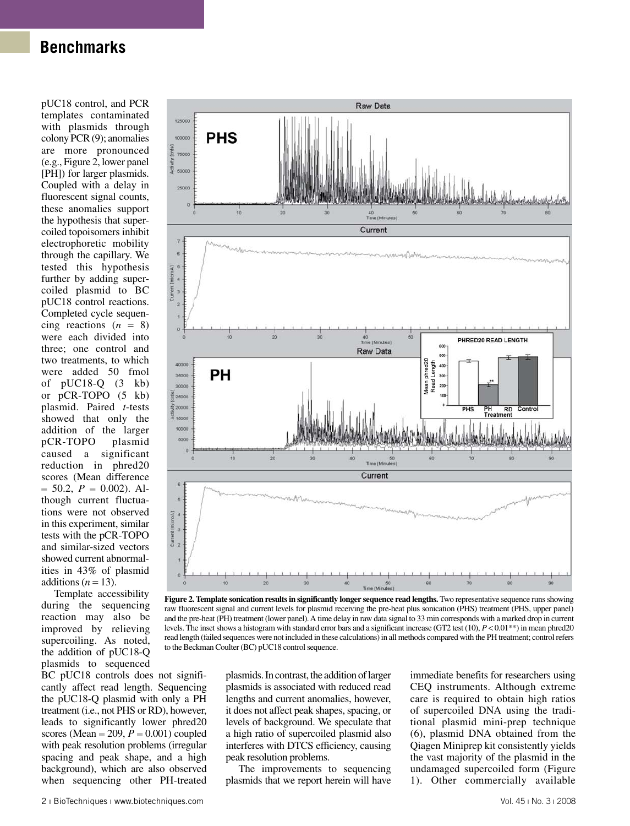# **Benchmarks**

pUC18 control, and PCR templates contaminated with plasmids through colony PCR (9); anomalies are more pronounced (e.g., Figure 2, lower panel [PH]) for larger plasmids. Coupled with a delay in fluorescent signal counts, these anomalies support the hypothesis that supercoiled topoisomers inhibit electrophoretic mobility through the capillary. We tested this hypothesis further by adding supercoiled plasmid to BC pUC18 control reactions. Completed cycle sequencing reactions  $(n = 8)$ were each divided into three; one control and two treatments, to which were added 50 fmol of pUC18-Q (3 kb) or pCR-TOPO (5 kb) plasmid. Paired *t*-tests showed that only the addition of the larger pCR-TOPO plasmid caused a significant reduction in phred20 scores (Mean difference  $= 50.2, P = 0.002$ . Although current fluctuations were not observed in this experiment, similar tests with the pCR-TOPO and similar-sized vectors showed current abnormalities in 43% of plasmid additions  $(n = 13)$ .

Template accessibility during the sequencing reaction may also be improved by relieving supercoiling. As noted, the addition of pUC18-Q plasmids to sequenced

BC pUC18 controls does not significantly affect read length. Sequencing the pUC18-Q plasmid with only a PH treatment (i.e., not PHS or RD), however, leads to significantly lower phred20 scores (Mean  $= 209$ ,  $P = 0.001$ ) coupled with peak resolution problems (irregular spacing and peak shape, and a high background), which are also observed when sequencing other PH-treated



**Figure 2. Template sonication results in significantly longer sequence read lengths.** Two representative sequence runs showing raw fluorescent signal and current levels for plasmid receiving the pre-heat plus sonication (PHS) treatment (PHS, upper panel) and the pre-heat (PH) treatment (lower panel). A time delay in raw data signal to 33 min corresponds with a marked drop in current levels. The inset shows a histogram with standard error bars and a significant increase (GT2 test (10),  $P \triangleleft 0.01^{**}$ ) in mean phred20 read length (failed sequences were not included in these calculations) in all methods compared with the PH treatment; control refers to the Beckman Coulter (BC) pUC18 control sequence.

plasmids. In contrast, the addition of larger plasmids is associated with reduced read lengths and current anomalies, however, it does not affect peak shapes, spacing, or levels of background. We speculate that a high ratio of supercoiled plasmid also interferes with DTCS efficiency, causing peak resolution problems.

The improvements to sequencing plasmids that we report herein will have immediate benefits for researchers using CEQ instruments. Although extreme care is required to obtain high ratios of supercoiled DNA using the traditional plasmid mini-prep technique (6), plasmid DNA obtained from the Qiagen Miniprep kit consistently yields the vast majority of the plasmid in the undamaged supercoiled form (Figure